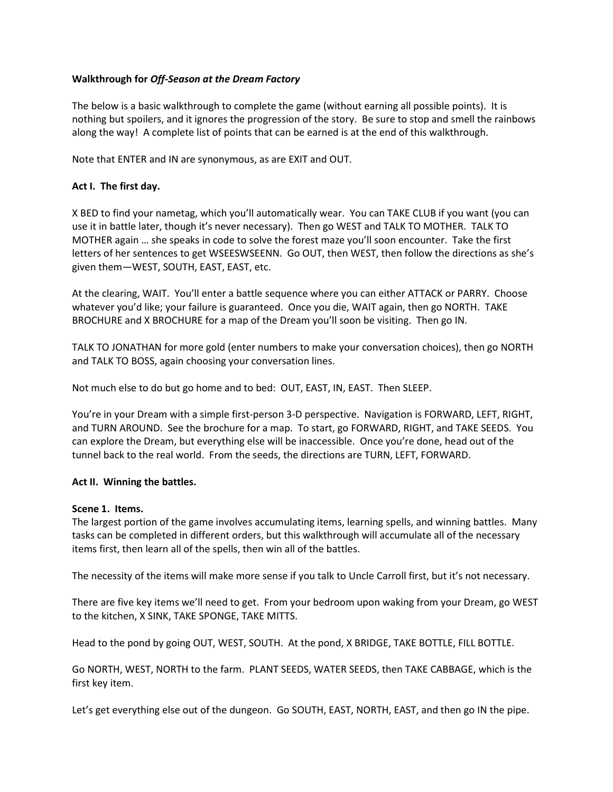### Walkthrough for Off-Season at the Dream Factory

The below is a basic walkthrough to complete the game (without earning all possible points). It is nothing but spoilers, and it ignores the progression of the story. Be sure to stop and smell the rainbows along the way! A complete list of points that can be earned is at the end of this walkthrough.

Note that ENTER and IN are synonymous, as are EXIT and OUT.

## Act I. The first day.

X BED to find your nametag, which you'll automatically wear. You can TAKE CLUB if you want (you can use it in battle later, though it's never necessary). Then go WEST and TALK TO MOTHER. TALK TO MOTHER again … she speaks in code to solve the forest maze you'll soon encounter. Take the first letters of her sentences to get WSEESWSEENN. Go OUT, then WEST, then follow the directions as she's given them—WEST, SOUTH, EAST, EAST, etc.

At the clearing, WAIT. You'll enter a battle sequence where you can either ATTACK or PARRY. Choose whatever you'd like; your failure is guaranteed. Once you die, WAIT again, then go NORTH. TAKE BROCHURE and X BROCHURE for a map of the Dream you'll soon be visiting. Then go IN.

TALK TO JONATHAN for more gold (enter numbers to make your conversation choices), then go NORTH and TALK TO BOSS, again choosing your conversation lines.

Not much else to do but go home and to bed: OUT, EAST, IN, EAST. Then SLEEP.

You're in your Dream with a simple first-person 3-D perspective. Navigation is FORWARD, LEFT, RIGHT, and TURN AROUND. See the brochure for a map. To start, go FORWARD, RIGHT, and TAKE SEEDS. You can explore the Dream, but everything else will be inaccessible. Once you're done, head out of the tunnel back to the real world. From the seeds, the directions are TURN, LEFT, FORWARD.

### Act II. Winning the battles.

### Scene 1. Items.

The largest portion of the game involves accumulating items, learning spells, and winning battles. Many tasks can be completed in different orders, but this walkthrough will accumulate all of the necessary items first, then learn all of the spells, then win all of the battles.

The necessity of the items will make more sense if you talk to Uncle Carroll first, but it's not necessary.

There are five key items we'll need to get. From your bedroom upon waking from your Dream, go WEST to the kitchen, X SINK, TAKE SPONGE, TAKE MITTS.

Head to the pond by going OUT, WEST, SOUTH. At the pond, X BRIDGE, TAKE BOTTLE, FILL BOTTLE.

Go NORTH, WEST, NORTH to the farm. PLANT SEEDS, WATER SEEDS, then TAKE CABBAGE, which is the first key item.

Let's get everything else out of the dungeon. Go SOUTH, EAST, NORTH, EAST, and then go IN the pipe.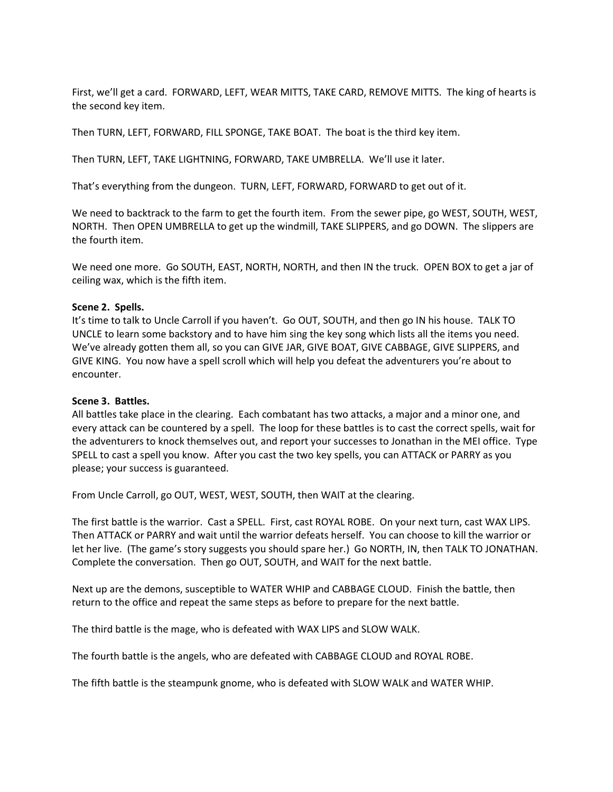First, we'll get a card. FORWARD, LEFT, WEAR MITTS, TAKE CARD, REMOVE MITTS. The king of hearts is the second key item.

Then TURN, LEFT, FORWARD, FILL SPONGE, TAKE BOAT. The boat is the third key item.

Then TURN, LEFT, TAKE LIGHTNING, FORWARD, TAKE UMBRELLA. We'll use it later.

That's everything from the dungeon. TURN, LEFT, FORWARD, FORWARD to get out of it.

We need to backtrack to the farm to get the fourth item. From the sewer pipe, go WEST, SOUTH, WEST, NORTH. Then OPEN UMBRELLA to get up the windmill, TAKE SLIPPERS, and go DOWN. The slippers are the fourth item.

We need one more. Go SOUTH, EAST, NORTH, NORTH, and then IN the truck. OPEN BOX to get a jar of ceiling wax, which is the fifth item.

#### Scene 2. Spells.

It's time to talk to Uncle Carroll if you haven't. Go OUT, SOUTH, and then go IN his house. TALK TO UNCLE to learn some backstory and to have him sing the key song which lists all the items you need. We've already gotten them all, so you can GIVE JAR, GIVE BOAT, GIVE CABBAGE, GIVE SLIPPERS, and GIVE KING. You now have a spell scroll which will help you defeat the adventurers you're about to encounter.

#### Scene 3. Battles.

All battles take place in the clearing. Each combatant has two attacks, a major and a minor one, and every attack can be countered by a spell. The loop for these battles is to cast the correct spells, wait for the adventurers to knock themselves out, and report your successes to Jonathan in the MEI office. Type SPELL to cast a spell you know. After you cast the two key spells, you can ATTACK or PARRY as you please; your success is guaranteed.

From Uncle Carroll, go OUT, WEST, WEST, SOUTH, then WAIT at the clearing.

The first battle is the warrior. Cast a SPELL. First, cast ROYAL ROBE. On your next turn, cast WAX LIPS. Then ATTACK or PARRY and wait until the warrior defeats herself. You can choose to kill the warrior or let her live. (The game's story suggests you should spare her.) Go NORTH, IN, then TALK TO JONATHAN. Complete the conversation. Then go OUT, SOUTH, and WAIT for the next battle.

Next up are the demons, susceptible to WATER WHIP and CABBAGE CLOUD. Finish the battle, then return to the office and repeat the same steps as before to prepare for the next battle.

The third battle is the mage, who is defeated with WAX LIPS and SLOW WALK.

The fourth battle is the angels, who are defeated with CABBAGE CLOUD and ROYAL ROBE.

The fifth battle is the steampunk gnome, who is defeated with SLOW WALK and WATER WHIP.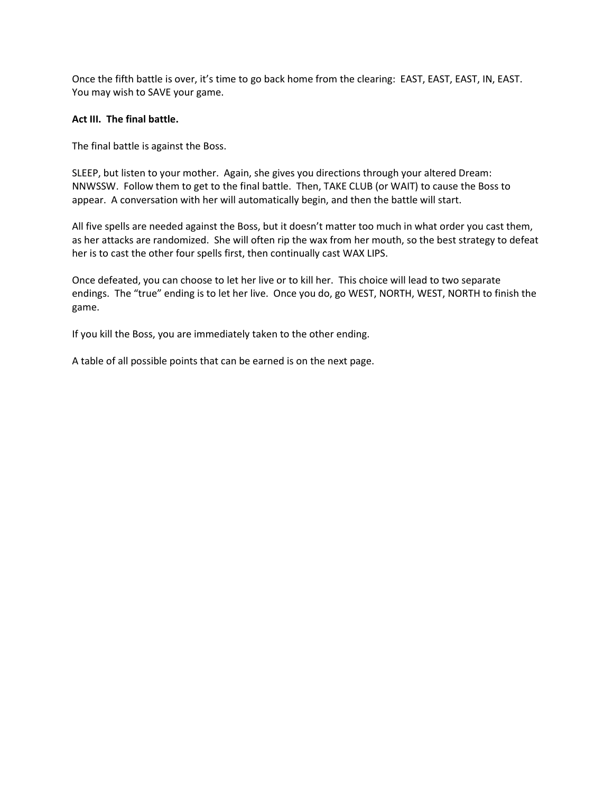Once the fifth battle is over, it's time to go back home from the clearing: EAST, EAST, EAST, IN, EAST. You may wish to SAVE your game.

### Act III. The final battle.

The final battle is against the Boss.

SLEEP, but listen to your mother. Again, she gives you directions through your altered Dream: NNWSSW. Follow them to get to the final battle. Then, TAKE CLUB (or WAIT) to cause the Boss to appear. A conversation with her will automatically begin, and then the battle will start.

All five spells are needed against the Boss, but it doesn't matter too much in what order you cast them, as her attacks are randomized. She will often rip the wax from her mouth, so the best strategy to defeat her is to cast the other four spells first, then continually cast WAX LIPS.

Once defeated, you can choose to let her live or to kill her. This choice will lead to two separate endings. The "true" ending is to let her live. Once you do, go WEST, NORTH, WEST, NORTH to finish the game.

If you kill the Boss, you are immediately taken to the other ending.

A table of all possible points that can be earned is on the next page.